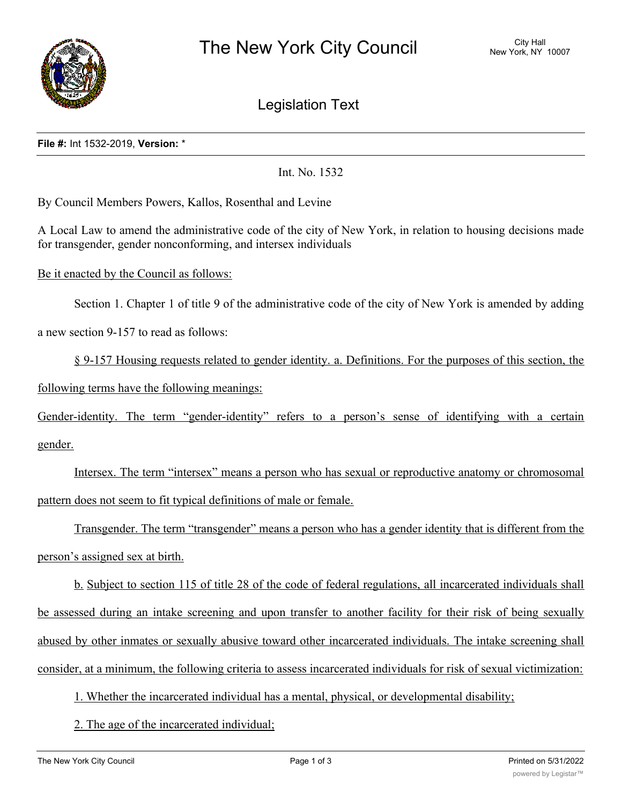

Legislation Text

## **File #:** Int 1532-2019, **Version:** \*

Int. No. 1532

By Council Members Powers, Kallos, Rosenthal and Levine

A Local Law to amend the administrative code of the city of New York, in relation to housing decisions made for transgender, gender nonconforming, and intersex individuals

Be it enacted by the Council as follows:

Section 1. Chapter 1 of title 9 of the administrative code of the city of New York is amended by adding a new section 9-157 to read as follows:

§ 9-157 Housing requests related to gender identity. a. Definitions. For the purposes of this section, the following terms have the following meanings:

Gender-identity. The term "gender-identity" refers to a person's sense of identifying with a certain gender.

Intersex. The term "intersex" means a person who has sexual or reproductive anatomy or chromosomal pattern does not seem to fit typical definitions of male or female.

Transgender. The term "transgender" means a person who has a gender identity that is different from the person's assigned sex at birth.

b. Subject to section 115 of title 28 of the code of federal regulations, all incarcerated individuals shall be assessed during an intake screening and upon transfer to another facility for their risk of being sexually abused by other inmates or sexually abusive toward other incarcerated individuals. The intake screening shall consider, at a minimum, the following criteria to assess incarcerated individuals for risk of sexual victimization:

1. Whether the incarcerated individual has a mental, physical, or developmental disability;

2. The age of the incarcerated individual;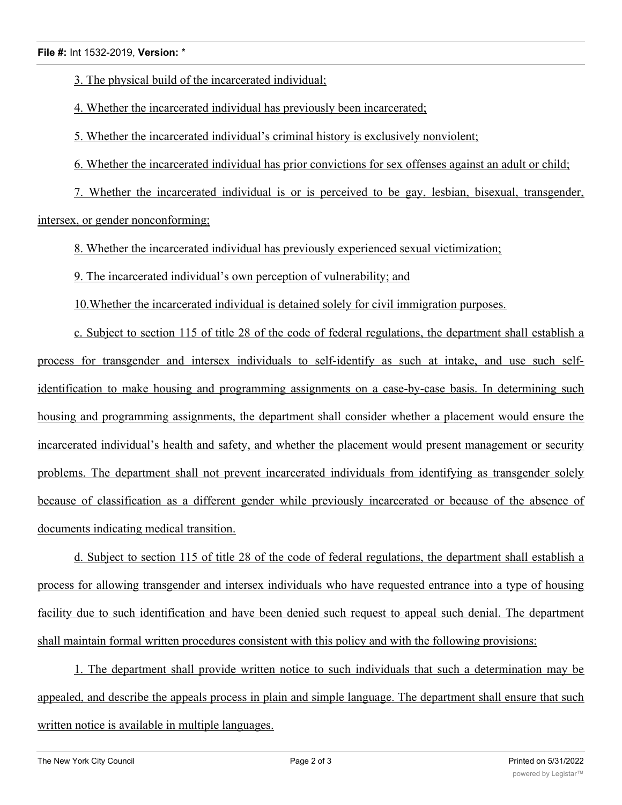3. The physical build of the incarcerated individual;

4. Whether the incarcerated individual has previously been incarcerated;

5. Whether the incarcerated individual's criminal history is exclusively nonviolent;

6. Whether the incarcerated individual has prior convictions for sex offenses against an adult or child;

7. Whether the incarcerated individual is or is perceived to be gay, lesbian, bisexual, transgender, intersex, or gender nonconforming;

8. Whether the incarcerated individual has previously experienced sexual victimization;

9. The incarcerated individual's own perception of vulnerability; and

10.Whether the incarcerated individual is detained solely for civil immigration purposes.

c. Subject to section 115 of title 28 of the code of federal regulations, the department shall establish a process for transgender and intersex individuals to self-identify as such at intake, and use such selfidentification to make housing and programming assignments on a case-by-case basis. In determining such housing and programming assignments, the department shall consider whether a placement would ensure the incarcerated individual's health and safety, and whether the placement would present management or security problems. The department shall not prevent incarcerated individuals from identifying as transgender solely because of classification as a different gender while previously incarcerated or because of the absence of documents indicating medical transition.

d. Subject to section 115 of title 28 of the code of federal regulations, the department shall establish a process for allowing transgender and intersex individuals who have requested entrance into a type of housing facility due to such identification and have been denied such request to appeal such denial. The department shall maintain formal written procedures consistent with this policy and with the following provisions:

1. The department shall provide written notice to such individuals that such a determination may be appealed, and describe the appeals process in plain and simple language. The department shall ensure that such written notice is available in multiple languages.